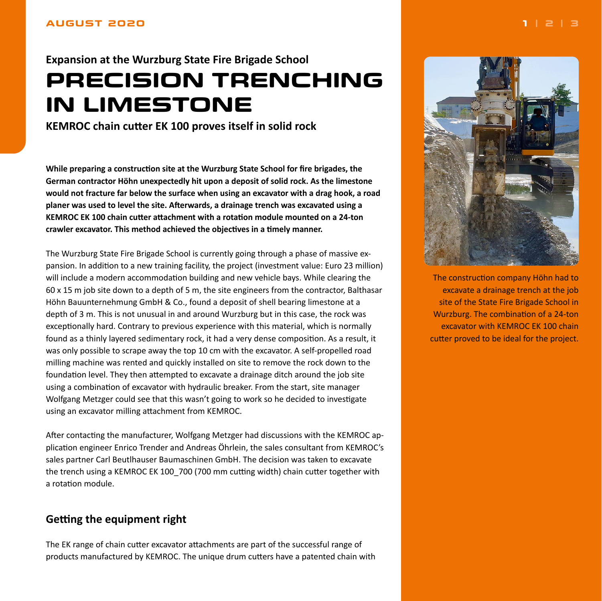# <span id="page-0-0"></span>**Expansion at the Wurzburg State Fire Brigade School PRECISION TRENCHING IN LIMESTONE**

**KEMROC chain cutter EK 100 proves itself in solid rock**

**While preparing a construction site at the Wurzburg State School for fire brigades, the German contractor Höhn unexpectedly hit upon a deposit of solid rock. As the limestone would not fracture far below the surface when using an excavator with a drag hook, a road planer was used to level the site. Afterwards, a drainage trench was excavated using a KEMROC EK 100 chain cutter attachment with a rotation module mounted on a 24-ton crawler excavator. This method achieved the objectives in a timely manner.**

The Wurzburg State Fire Brigade School is currently going through a phase of massive expansion. In addition to a new training facility, the project (investment value: Euro 23 million) will include a modern accommodation building and new vehicle bays. While clearing the 60 x 15 m job site down to a depth of 5 m, the site engineers from the contractor, Balthasar Höhn Bauunternehmung GmbH & Co., found a deposit of shell bearing limestone at a depth of 3 m. This is not unusual in and around Wurzburg but in this case, the rock was exceptionally hard. Contrary to previous experience with this material, which is normally found as a thinly layered sedimentary rock, it had a very dense composition. As a result, it was only possible to scrape away the top 10 cm with the excavator. A self-propelled road milling machine was rented and quickly installed on site to remove the rock down to the foundation level. They then attempted to excavate a drainage ditch around the job site using a combination of excavator with hydraulic breaker. From the start, site manager Wolfgang Metzger could see that this wasn't going to work so he decided to investigate using an excavator milling attachment from KEMROC.

After contacting the manufacturer, Wolfgang Metzger had discussions with the KEMROC application engineer Enrico Trender and Andreas Öhrlein, the sales consultant from KEMROC's sales partner Carl Beutlhauser Baumaschinen GmbH. The decision was taken to excavate the trench using a KEMROC EK 100 700 (700 mm cutting width) chain cutter together with a rotation module.

## **Getting the equipment right**

The EK range of chain cutter excavator attachments are part of the successful range of products manufactured by KEMROC. The unique drum cutters have a patented chain with



The construction company Höhn had to excavate a drainage trench at the job site of the State Fire Brigade School in Wurzburg. The combination of a 24-ton excavator with KEMROC EK 100 chain cutter proved to be ideal for the project.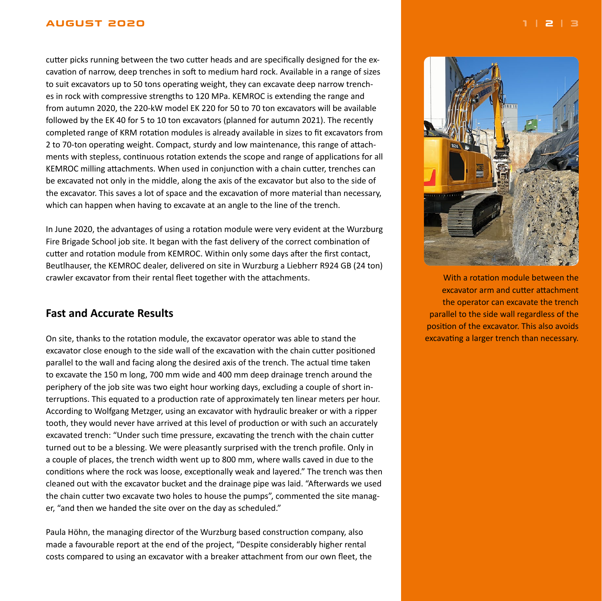#### <span id="page-1-0"></span>**AUGUST 2020 [1](#page-0-0) | 2 | [3](#page-2-0)**

cutter picks running between the two cutter heads and are specifically designed for the excavation of narrow, deep trenches in soft to medium hard rock. Available in a range of sizes to suit excavators up to 50 tons operating weight, they can excavate deep narrow trenches in rock with compressive strengths to 120 MPa. KEMROC is extending the range and from autumn 2020, the 220-kW model EK 220 for 50 to 70 ton excavators will be available followed by the EK 40 for 5 to 10 ton excavators (planned for autumn 2021). The recently completed range of KRM rotation modules is already available in sizes to fit excavators from 2 to 70-ton operating weight. Compact, sturdy and low maintenance, this range of attachments with stepless, continuous rotation extends the scope and range of applications for all KEMROC milling attachments. When used in conjunction with a chain cutter, trenches can be excavated not only in the middle, along the axis of the excavator but also to the side of the excavator. This saves a lot of space and the excavation of more material than necessary, which can happen when having to excavate at an angle to the line of the trench.

In June 2020, the advantages of using a rotation module were very evident at the Wurzburg Fire Brigade School job site. It began with the fast delivery of the correct combination of cutter and rotation module from KEMROC. Within only some days after the first contact, Beutlhauser, the KEMROC dealer, delivered on site in Wurzburg a Liebherr R924 GB (24 ton) crawler excavator from their rental fleet together with the attachments.

### **Fast and Accurate Results**

On site, thanks to the rotation module, the excavator operator was able to stand the excavator close enough to the side wall of the excavation with the chain cutter positioned parallel to the wall and facing along the desired axis of the trench. The actual time taken to excavate the 150 m long, 700 mm wide and 400 mm deep drainage trench around the periphery of the job site was two eight hour working days, excluding a couple of short interruptions. This equated to a production rate of approximately ten linear meters per hour. According to Wolfgang Metzger, using an excavator with hydraulic breaker or with a ripper tooth, they would never have arrived at this level of production or with such an accurately excavated trench: "Under such time pressure, excavating the trench with the chain cutter turned out to be a blessing. We were pleasantly surprised with the trench profile. Only in a couple of places, the trench width went up to 800 mm, where walls caved in due to the conditions where the rock was loose, exceptionally weak and layered." The trench was then cleaned out with the excavator bucket and the drainage pipe was laid. "Afterwards we used the chain cutter two excavate two holes to house the pumps", commented the site manager, "and then we handed the site over on the day as scheduled."

Paula Höhn, the managing director of the Wurzburg based construction company, also made a favourable report at the end of the project, "Despite considerably higher rental costs compared to using an excavator with a breaker attachment from our own fleet, the



With a rotation module between the excavator arm and cutter attachment the operator can excavate the trench parallel to the side wall regardless of the position of the excavator. This also avoids excavating a larger trench than necessary.